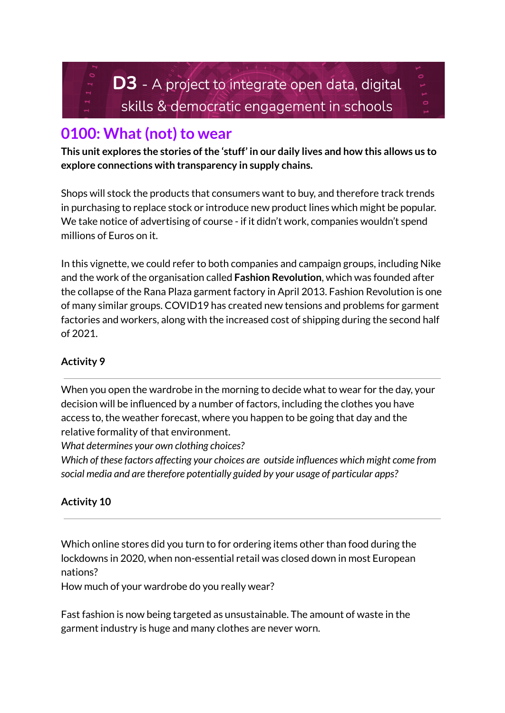

# **0100: What (not) to wear**

**This unit explores the stories ofthe 'stuff' in our daily lives and how this allows us to explore connections with transparency in supply chains.**

Shops will stock the products that consumers want to buy, and therefore track trends in purchasing to replace stock or introduce new product lines which might be popular. We take notice of advertising of course - if it didn't work, companies wouldn't spend millions of Euros on it.

In this vignette, we could refer to both companies and campaign groups, including Nike and the work of the organisation called **Fashion Revolution**, which was founded after the collapse of the Rana Plaza garment factory in April 2013. Fashion Revolution is one of many similar groups. COVID19 has created new tensions and problems for garment factories and workers, along with the increased cost of shipping during the second half of 2021.

# **Activity 9**

When you open the wardrobe in the morning to decide what to wear for the day, your decision will be influenced by a number of factors, including the clothes you have access to, the weather forecast, where you happen to be going that day and the relative formality of that environment.

*What determines your own clothing choices?*

*Which of these factors affecting your choices are outside influences which might come from social media and are therefore potentially guided by your usage of particular apps?*

# **Activity 10**

Which online stores did you turn to for ordering items other than food during the lockdowns in 2020, when non-essential retail was closed down in most European nations?

How much of your wardrobe do you really wear?

Fast fashion is now being targeted as unsustainable. The amount of waste in the garment industry is huge and many clothes are never worn.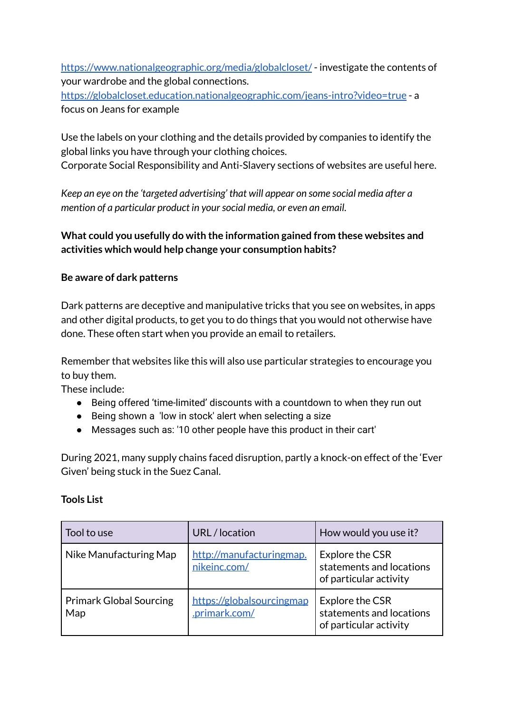<https://www.nationalgeographic.org/media/globalcloset/> - investigate the contents of your wardrobe and the global connections.

<https://globalcloset.education.nationalgeographic.com/jeans-intro?video=true> - a focus on Jeans for example

Use the labels on your clothing and the details provided by companies to identify the global links you have through your clothing choices.

Corporate Social Responsibility and Anti-Slavery sections of websites are useful here.

*Keep an eye on the 'targeted advertising' that will appear on some social media after a mention of a particular product in yoursocial media, or even an email.*

## **What could you usefully do with the information gained from these websites and activities which would help change your consumption habits?**

## **Be aware of dark patterns**

Dark patterns are deceptive and manipulative tricks that you see on websites, in apps and other digital products, to get you to do things that you would not otherwise have done. These often start when you provide an email to retailers.

Remember that websites like this will also use particular strategies to encourage you to buy them.

These include:

- Being offered 'time-limited' discounts with a countdown to when they run out
- Being shown a 'low in stock' alert when selecting a size
- Messages such as: '10 other people have this product in their cart'

During 2021, many supply chains faced disruption, partly a knock-on effect of the 'Ever Given' being stuck in the Suez Canal.

#### **Tools List**

| Tool to use                           | URL/location                               | How would you use it?                                                 |
|---------------------------------------|--------------------------------------------|-----------------------------------------------------------------------|
| Nike Manufacturing Map                | http://manufacturingmap.<br>nikeinc.com/   | Explore the CSR<br>statements and locations<br>of particular activity |
| <b>Primark Global Sourcing</b><br>Map | https://globalsourcingmap<br>.primark.com/ | Explore the CSR<br>statements and locations<br>of particular activity |